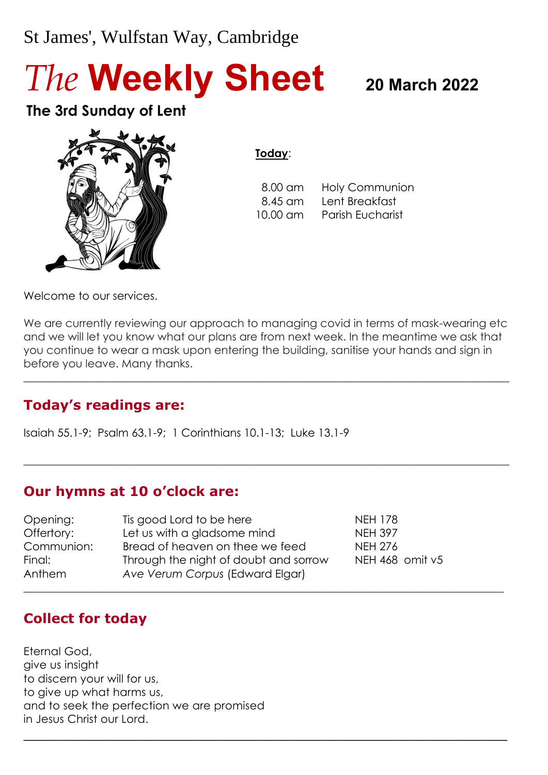# St James', Wulfstan Way, Cambridge

# *The* **Weekly Sheet <sup>20</sup> March <sup>2022</sup>**

# **The 3rd Sunday of Lent**



**Today**:

 8.00 am Holy Communion 8.45 am Lent Breakfast 10.00 am Parish Eucharist

Welcome to our services.

We are currently reviewing our approach to managing covid in terms of mask-wearing etc and we will let you know what our plans are from next week. In the meantime we ask that you continue to wear a mask upon entering the building, sanitise your hands and sign in before you leave. Many thanks.

 $\_$  , and the set of the set of the set of the set of the set of the set of the set of the set of the set of the set of the set of the set of the set of the set of the set of the set of the set of the set of the set of th

 $\_$  , and the set of the set of the set of the set of the set of the set of the set of the set of the set of the set of the set of the set of the set of the set of the set of the set of the set of the set of the set of th

\_\_\_\_\_\_\_\_\_\_\_\_\_\_\_\_\_\_\_\_\_\_\_\_\_\_\_\_\_\_\_\_\_\_\_\_\_\_\_\_\_\_\_\_\_\_\_\_\_\_\_\_\_\_\_\_\_

# **Today's readings are:**

Isaiah 55.1-9; Psalm 63.1-9; 1 Corinthians 10.1-13; Luke 13.1-9

# **Our hymns at 10 o'clock are:**

Opening: Tis good Lord to be here NEH 178 Offertory: Let us with a gladsome mind NEH 397 Communion: Bread of heaven on thee we feed NEH 276 Final: Through the night of doubt and sorrow NEH 468 omit v5 Anthem *Ave Verum Corpus* (Edward Elgar)  $\_$  , and the set of the set of the set of the set of the set of the set of the set of the set of the set of the set of the set of the set of the set of the set of the set of the set of the set of the set of the set of th

# **Collect for today**

Eternal God, give us insight to discern your will for us, to give up what harms us, and to seek the perfection we are promised in Jesus Christ our Lord.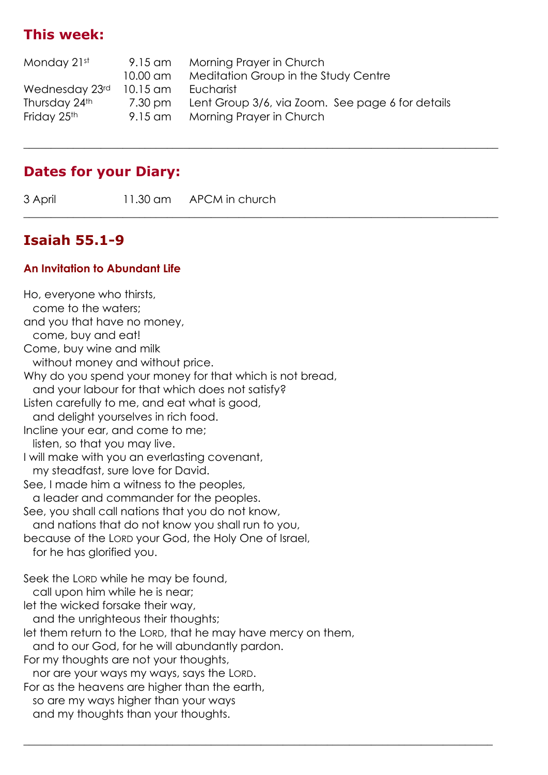# **This week:**

| 9.15 am                 |                                                      |
|-------------------------|------------------------------------------------------|
| $10.00$ am              | Meditation Group in the Study Centre                 |
| Eucharist<br>$10.15$ am |                                                      |
| 7.30 pm                 | Lent Group 3/6, via Zoom. See page 6 for details     |
| 9.15 am                 |                                                      |
|                         | Morning Prayer in Church<br>Morning Prayer in Church |

 $\_$  , and the set of the set of the set of the set of the set of the set of the set of the set of the set of the set of the set of the set of the set of the set of the set of the set of the set of the set of the set of th

 $\_$  , and the set of the set of the set of the set of the set of the set of the set of the set of the set of the set of the set of the set of the set of the set of the set of the set of the set of the set of the set of th

 $\_$  , and the set of the set of the set of the set of the set of the set of the set of the set of the set of the set of the set of the set of the set of the set of the set of the set of the set of the set of the set of th

#### **Dates for your Diary:**

3 April 11.30 am APCM in church

#### **Isaiah 55.1-9**

#### **An Invitation to Abundant Life**

Ho, everyone who thirsts, come to the waters; and you that have no money, come, buy and eat! Come, buy wine and milk without money and without price. Why do you spend your money for that which is not bread, and your labour for that which does not satisfy? Listen carefully to me, and eat what is good, and delight yourselves in rich food. Incline your ear, and come to me; listen, so that you may live. I will make with you an everlasting covenant, my steadfast, sure love for David. See, I made him a witness to the peoples, a leader and commander for the peoples. See, you shall call nations that you do not know, and nations that do not know you shall run to you, because of the LORD your God, the Holy One of Israel, for he has glorified you. Seek the LORD while he may be found, call upon him while he is near; let the wicked forsake their way, and the unrighteous their thoughts; let them return to the LORD, that he may have mercy on them, and to our God, for he will abundantly pardon. For my thoughts are not your thoughts, nor are your ways my ways, says the LORD. For as the heavens are higher than the earth, so are my ways higher than your ways and my thoughts than your thoughts.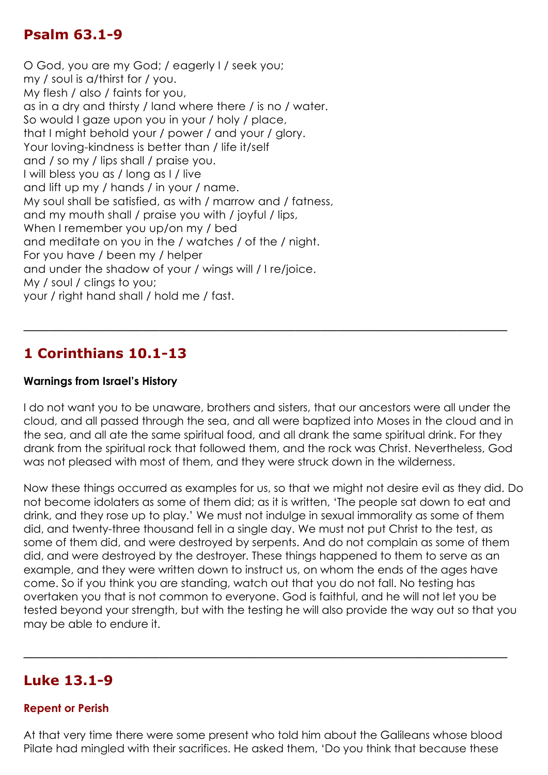#### **Psalm 63.1-9**

O God, you are my God; / eagerly I / seek you; my / soul is a/thirst for / you. My flesh / also / faints for you, as in a dry and thirsty / land where there / is no / water. So would I gaze upon you in your / holy / place, that I might behold your / power / and your / glory. Your loving-kindness is better than / life it/self and / so my / lips shall / praise you. I will bless you as / long as I / live and lift up my / hands / in your / name. My soul shall be satisfied, as with / marrow and / fatness, and my mouth shall / praise you with / joyful / lips, When I remember you up/on my / bed and meditate on you in the / watches / of the / night. For you have / been my / helper and under the shadow of your / wings will / I re/joice. My / soul / clings to you; your / right hand shall / hold me / fast.

#### **1 Corinthians 10.1-13**

#### **Warnings from Israel's History**

I do not want you to be unaware, brothers and sisters, that our ancestors were all under the cloud, and all passed through the sea, and all were baptized into Moses in the cloud and in the sea, and all ate the same spiritual food, and all drank the same spiritual drink. For they drank from the spiritual rock that followed them, and the rock was Christ. Nevertheless, God was not pleased with most of them, and they were struck down in the wilderness.

\_\_\_\_\_\_\_\_\_\_\_\_\_\_\_\_\_\_\_\_\_\_\_\_\_\_\_\_\_\_\_\_\_\_\_\_\_\_\_\_\_\_\_\_\_\_\_\_\_\_\_\_\_\_\_\_\_

Now these things occurred as examples for us, so that we might not desire evil as they did. Do not become idolaters as some of them did; as it is written, 'The people sat down to eat and drink, and they rose up to play.' We must not indulge in sexual immorality as some of them did, and twenty-three thousand fell in a single day. We must not put Christ to the test, as some of them did, and were destroyed by serpents. And do not complain as some of them did, and were destroyed by the destroyer. These things happened to them to serve as an example, and they were written down to instruct us, on whom the ends of the ages have come. So if you think you are standing, watch out that you do not fall. No testing has overtaken you that is not common to everyone. God is faithful, and he will not let you be tested beyond your strength, but with the testing he will also provide the way out so that you may be able to endure it.

#### **Luke 13.1-9**

#### **Repent or Perish**

At that very time there were some present who told him about the Galileans whose blood Pilate had mingled with their sacrifices. He asked them, 'Do you think that because these

\_\_\_\_\_\_\_\_\_\_\_\_\_\_\_\_\_\_\_\_\_\_\_\_\_\_\_\_\_\_\_\_\_\_\_\_\_\_\_\_\_\_\_\_\_\_\_\_\_\_\_\_\_\_\_\_\_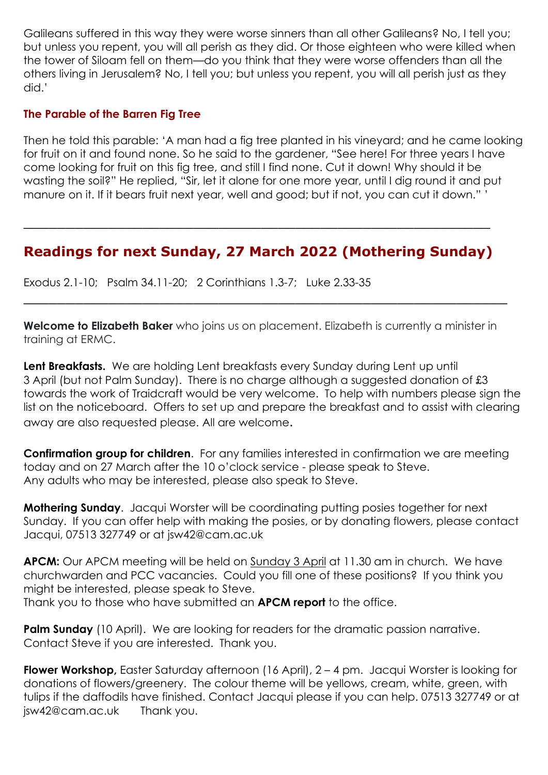Galileans suffered in this way they were worse sinners than all other Galileans? No, I tell you; but unless you repent, you will all perish as they did. Or those eighteen who were killed when the tower of Siloam fell on them—do you think that they were worse offenders than all the others living in Jerusalem? No, I tell you; but unless you repent, you will all perish just as they did.'

#### **The Parable of the Barren Fig Tree**

Then he told this parable: 'A man had a fig tree planted in his vineyard; and he came looking for fruit on it and found none. So he said to the gardener, "See here! For three years I have come looking for fruit on this fig tree, and still I find none. Cut it down! Why should it be wasting the soil?" He replied, "Sir, let it alone for one more year, until I dig round it and put manure on it. If it bears fruit next year, well and good; but if not, you can cut it down." '

# **Readings for next Sunday, 27 March 2022 (Mothering Sunday)**

\_\_\_\_\_\_\_\_\_\_\_\_\_\_\_\_\_\_\_\_\_\_\_\_\_\_\_\_\_\_\_\_\_\_\_\_\_\_\_\_\_\_\_\_\_\_\_\_\_\_\_\_\_\_\_

Exodus 2.1-10; Psalm 34.11-20; 2 Corinthians 1.3-7; Luke 2.33-35

**Welcome to Elizabeth Baker** who joins us on placement. Elizabeth is currently a minister in training at ERMC.

\_\_\_\_\_\_\_\_\_\_\_\_\_\_\_\_\_\_\_\_\_\_\_\_\_\_\_\_\_\_\_\_\_\_\_\_\_\_\_\_\_\_\_\_\_\_\_\_\_\_\_\_\_\_\_\_\_

Lent Breakfasts. We are holding Lent breakfasts every Sunday during Lent up until 3 April (but not Palm Sunday). There is no charge although a suggested donation of £3 towards the work of Traidcraft would be very welcome. To help with numbers please sign the list on the noticeboard. Offers to set up and prepare the breakfast and to assist with clearing away are also requested please. All are welcome.

**Confirmation group for children**. For any families interested in confirmation we are meeting today and on 27 March after the 10 o'clock service - please speak to Steve. Any adults who may be interested, please also speak to Steve.

**Mothering Sunday**. Jacqui Worster will be coordinating putting posies together for next Sunday. If you can offer help with making the posies, or by donating flowers, please contact Jacqui, 07513 327749 or at jsw42@cam.ac.uk

**APCM:** Our APCM meeting will be held on Sunday 3 April at 11.30 am in church. We have churchwarden and PCC vacancies. Could you fill one of these positions? If you think you might be interested, please speak to Steve. Thank you to those who have submitted an **APCM report** to the office.

**Palm Sunday** (10 April). We are looking for readers for the dramatic passion narrative. Contact Steve if you are interested. Thank you.

**Flower Workshop,** Easter Saturday afternoon (16 April), 2 – 4 pm. Jacqui Worster is looking for donations of flowers/greenery. The colour theme will be yellows, cream, white, green, with tulips if the daffodils have finished. Contact Jacqui please if you can help. 07513 327749 or at [jsw42@cam.ac.uk](mailto:jsw42@cam.ac.uk) Thank you.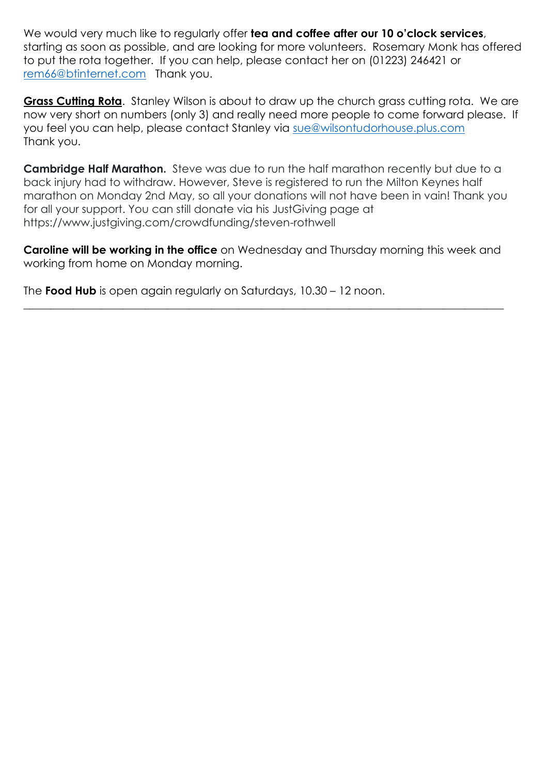We would very much like to regularly offer **tea and coffee after our 10 o'clock services**, starting as soon as possible, and are looking for more volunteers. Rosemary Monk has offered to put the rota together. If you can help, please contact her on (01223) 246421 or [rem66@btinternet.com](mailto:rem66@btinternet.com) Thank you.

**Grass Cutting Rota.** Stanley Wilson is about to draw up the church grass cutting rota. We are now very short on numbers (only 3) and really need more people to come forward please. If you feel you can help, please contact Stanley via [sue@wilsontudorhouse.plus.com](mailto:sue@wilsontudorhouse.plus.com) Thank you.

**Cambridge Half Marathon.** Steve was due to run the half marathon recently but due to a back injury had to withdraw. However, Steve is registered to run the Milton Keynes half marathon on Monday 2nd May, so all your donations will not have been in vain! Thank you for all your support. You can still donate via his JustGiving page at https://www.justgiving.com/crowdfunding/steven-rothwell

**Caroline will be working in the office** on Wednesday and Thursday morning this week and working from home on Monday morning.

 $\_$  , and the set of the set of the set of the set of the set of the set of the set of the set of the set of the set of the set of the set of the set of the set of the set of the set of the set of the set of the set of th

The **Food Hub** is open again regularly on Saturdays, 10.30 – 12 noon.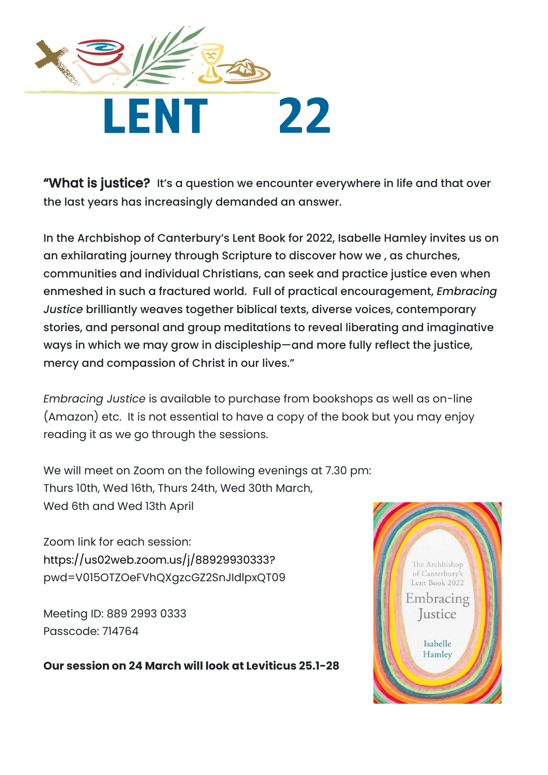

"What is justice? It's a question we encounter everywhere in life and that over the last years has increasingly demanded an answer.

In the Archbishop of Canterbury's Lent Book for 2022, Isabelle Hamley invites us on an exhilarating journey through Scripture to discover how we , as churches, communities and individual Christians, can seek and practice justice even when enmeshed in such a fractured world. Full of practical encouragement, *Embracing Justice* brilliantly weaves together biblical texts, diverse voices, contemporary stories, and personal and group meditations to reveal liberating and imaginative ways in which we may grow in discipleship—and more fully reflect the justice, mercy and compassion of Christ in our lives."

*Embracing Justice* is available to purchase from bookshops as well as on-line (Amazon) etc. It is not essential to have a copy of the book but you may enjoy reading it as we go through the sessions.

We will meet on Zoom on the following evenings at 7.30 pm: Thurs 10th, Wed 16th, Thurs 24th, Wed 30th March, Wed 6th and Wed 13th April

Zoom link for each session: [https://us02web.zoom.us/j/88929930333?](https://us02web.zoom.us/j/88929930333) pwd=V015OTZOeFVhQXgzcGZ2SnJIdlpxQT09

Meeting ID: 889 2993 0333 Passcode: 714764

**Our session on 24 March will look at Leviticus 25.1-28**